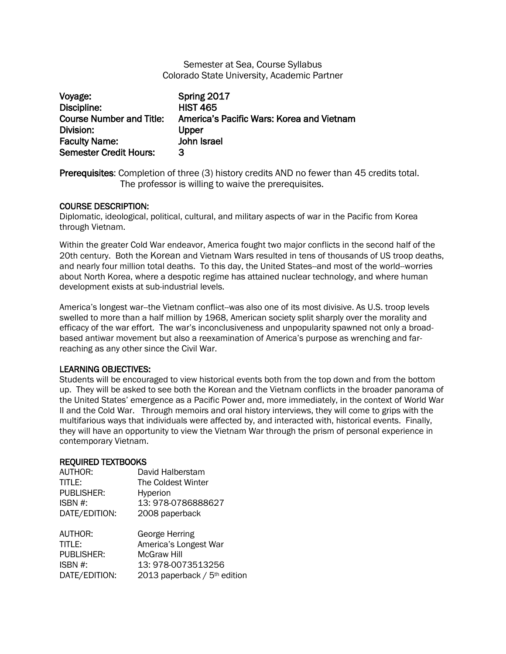# Semester at Sea, Course Syllabus Colorado State University, Academic Partner

| Voyage:                         | Spring 2017                               |
|---------------------------------|-------------------------------------------|
| Discipline:                     | <b>HIST 465</b>                           |
| <b>Course Number and Title:</b> | America's Pacific Wars: Korea and Vietnam |
| Division:                       | Upper                                     |
| <b>Faculty Name:</b>            | John Israel                               |
| <b>Semester Credit Hours:</b>   | З                                         |

Prerequisites: Completion of three (3) history credits AND no fewer than 45 credits total. The professor is willing to waive the prerequisites.

# COURSE DESCRIPTION:

Diplomatic, ideological, political, cultural, and military aspects of war in the Pacific from Korea through Vietnam.

Within the greater Cold War endeavor, America fought two major conflicts in the second half of the 20th century. Both the Korean and [Vietnam War](http://en.wikipedia.org/wiki/Vietnam_War)s resulted in tens of thousands of US troop deaths, and nearly four million total deaths. To this day, the United States--and most of the world--worries about North Korea, where a despotic regime has attained nuclear technology, and where human development exists at sub-industrial levels.

America's longest war--the Vietnam conflict--was also one of its most divisive. As U.S. troop levels swelled to more than a half million by 1968, American society split sharply over the morality and efficacy of the war effort. The war's inconclusiveness and unpopularity spawned not only a broadbased antiwar movement but also a reexamination of America's purpose as wrenching and farreaching as any other since the Civil War.

# LEARNING OBJECTIVES:

Students will be encouraged to view historical events both from the top down and from the bottom up. They will be asked to see both the Korean and the Vietnam conflicts in the broader panorama of the United States' emergence as a Pacific Power and, more immediately, in the context of World War II and the Cold War. Through memoirs and oral history interviews, they will come to grips with the multifarious ways that individuals were affected by, and interacted with, historical events. Finally, they will have an opportunity to view the Vietnam War through the prism of personal experience in contemporary Vietnam.

#### REQUIRED TEXTBOOKS

| AUTHOR:           | David Halberstam                         |
|-------------------|------------------------------------------|
| TITLE:            | The Coldest Winter                       |
| <b>PUBLISHER:</b> | Hyperion                                 |
| ISBN #:           | 13:978-0786888627                        |
| DATE/EDITION:     | 2008 paperback                           |
| AUTHOR:           | George Herring                           |
| TITLE:            | America's Longest War                    |
| <b>PUBLISHER:</b> | McGraw Hill                              |
| ISBN #:           | 13: 978-0073513256                       |
| DATE/EDITION:     | 2013 paperback / 5 <sup>th</sup> edition |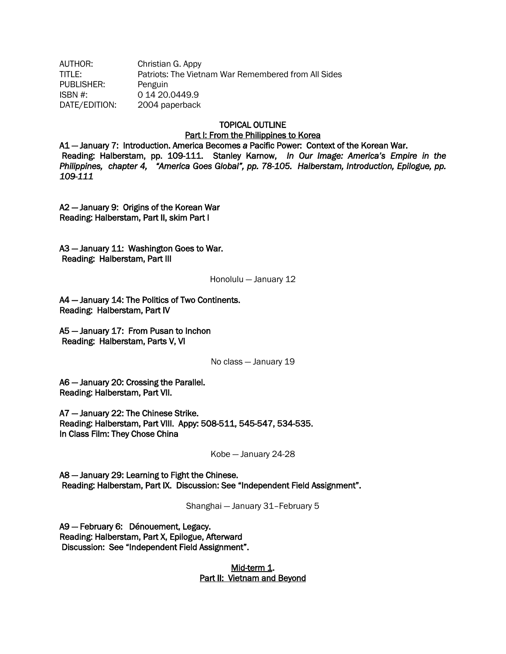AUTHOR: Christian G. Appy TITLE: Patriots: The Vietnam War Remembered from All Sides PUBLISHER: Penguin ISBN #: 0 14 20.0449.9 DATE/EDITION: 2004 paperback

# TOPICAL OUTLINE

#### Part I: From the Philippines to Korea

A1 — January 7: Introduction. America Becomes *a* Pacific Power: Context of the Korean War. Reading: Halberstam, pp. 109-111. Stanley Karnow, *In Our Image: America's Empire in the Philippines, chapter 4, "America Goes Global", pp. 78-105. Halberstam, Introduction, Epilogue, pp. 109-111*

A2 — January 9: Origins of the Korean War Reading: Halberstam, Part II, skim Part I

A3 — January 11: Washington Goes to War. Reading: Halberstam, Part III

Honolulu — January 12

A4 — January 14: The Politics of Two Continents. Reading: Halberstam, Part IV

A5 — January 17: From Pusan to Inchon Reading: Halberstam, Parts V, VI

No class — January 19

A6 — January 20: Crossing the Parallel. Reading: Halberstam, Part VII.

A7 — January 22: The Chinese Strike. Reading: Halberstam, Part VIII. Appy: 508-511, 545-547, 534-535. In Class Film: They Chose China

Kobe — January 24-28

A8 — January 29: Learning to Fight the Chinese. Reading: Halberstam, Part IX. Discussion: See "Independent Field Assignment".

Shanghai — January 31–February 5

A9 — February 6: Dénouement, Legacy. Reading: Halberstam, Part X, Epilogue, Afterward Discussion: See "Independent Field Assignment".

> Mid-term 1. Part II: Vietnam and Beyond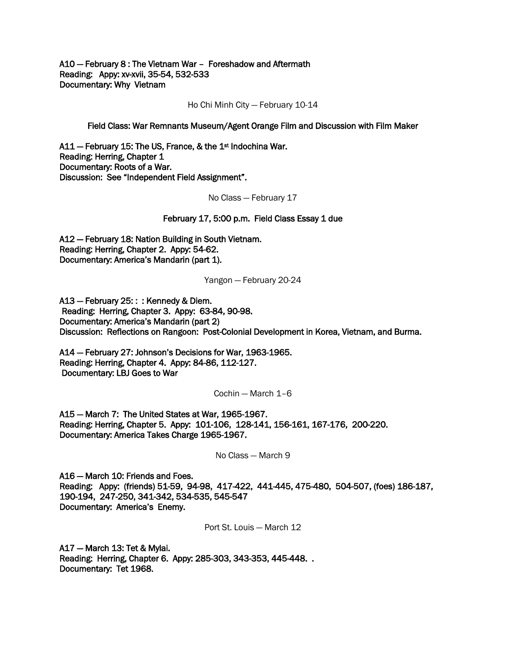A10 — February 8 : The Vietnam War – Foreshadow and Aftermath Reading: Appy: xv-xvii, 35-54, 532-533 Documentary: Why Vietnam

Ho Chi Minh City — February 10-14

Field Class: War Remnants Museum/Agent Orange Film and Discussion with Film Maker

A11 – February 15: The US, France, & the 1<sup>st</sup> Indochina War. Reading: Herring, Chapter 1 Documentary: Roots of a War. Discussion: See "Independent Field Assignment".

No Class — February 17

#### February 17, 5:00 p.m. Field Class Essay 1 due

A12 — February 18: Nation Building in South Vietnam. Reading: Herring, Chapter 2. Appy: 54-62. Documentary: America's Mandarin (part 1).

Yangon — February 20-24

A13 — February 25: : : Kennedy & Diem. Reading: Herring, Chapter 3. Appy: 63-84, 90-98. Documentary: America's Mandarin (part 2) Discussion: Reflections on Rangoon: Post-Colonial Development in Korea, Vietnam, and Burma.

A14 — February 27: Johnson's Decisions for War, 1963-1965. Reading: Herring, Chapter 4. Appy: 84-86, 112-127. Documentary: LBJ Goes to War

Cochin — March 1–6

A15 — March 7: The United States at War, 1965-1967. Reading: Herring, Chapter 5. Appy: 101-106, 128-141, 156-161, 167-176, 200-220. Documentary: America Takes Charge 1965-1967.

No Class — March 9

A16 — March 10: Friends and Foes. Reading: Appy: (friends) 51-59, 94-98, 417-422, 441-445, 475-480, 504-507, (foes) 186-187, 190-194, 247-250, 341-342, 534-535, 545-547 Documentary: America's Enemy.

Port St. Louis — March 12

A17 — March 13: Tet & Mylai. Reading: Herring, Chapter 6. Appy: 285-303, 343-353, 445-448. . Documentary: Tet 1968.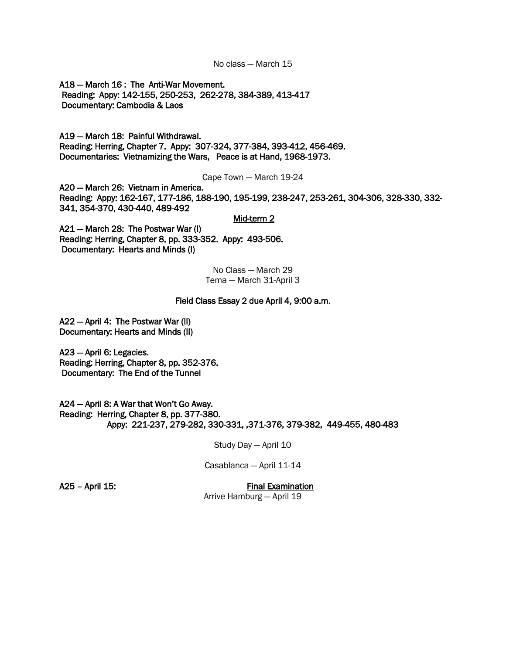No class — March 15

A18 — March 16 : The Anti-War Movement. Reading: Appy: 142-155, 250-253, 262-278, 384-389, 413-417 Documentary: Cambodia & Laos

A19 — March 18: Painful Withdrawal. Reading: Herring, Chapter 7. Appy: 307-324, 377-384, 393-412, 456-469. Documentaries: Vietnamizing the Wars, Peace is at Hand, 1968-1973.

Cape Town — March 19-24

A20 — March 26: Vietnam in America. Reading: Appy: 162-167, 177-186, 188-190, 195-199, 238-247, 253-261, 304-306, 328-330, 332- 341, 354-370, 430-440, 489-492

### Mid-term 2

A21 — March 28: The Postwar War (I) Reading: Herring, Chapter 8, pp. 333-352. Appy: 493-506. Documentary: Hearts and Minds (I)

> No Class — March 29 Tema — March 31-April 3

#### Field Class Essay 2 due April 4, 9:00 a.m.

A22 — April 4: The Postwar War (II) Documentary: Hearts and Minds (II)

A23 — April 6: Legacies. Reading: Herring, Chapter 8, pp. 352-376. Documentary: The End of the Tunnel

A24 — April 8: A War that Won't Go Away. Reading: Herring, Chapter 8, pp. 377-380. Appy: 221-237, 279-282, 330-331, ,371-376, 379-382, 449-455, 480-483

Study Day — April 10

Casablanca — April 11-14

A25 – April 15: Final Examination

Arrive Hamburg — April 19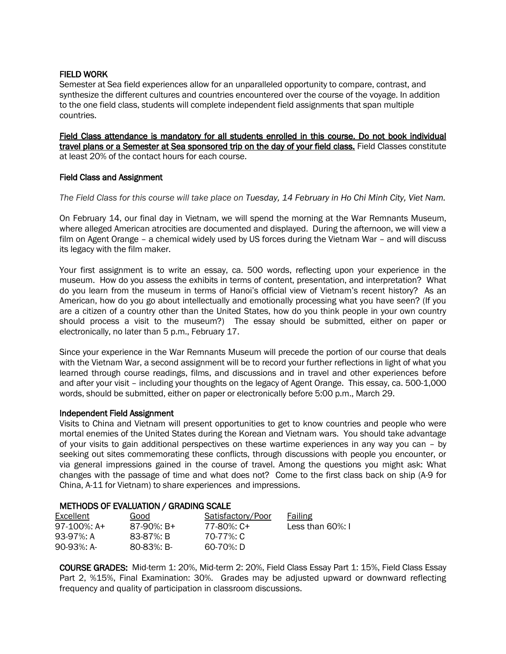### FIELD WORK

Semester at Sea field experiences allow for an unparalleled opportunity to compare, contrast, and synthesize the different cultures and countries encountered over the course of the voyage. In addition to the one field class, students will complete independent field assignments that span multiple countries.

Field Class attendance is mandatory for all students enrolled in this course. Do not book individual travel plans or a Semester at Sea sponsored trip on the day of your field class. Field Classes constitute at least 20% of the contact hours for each course.

### Field Class and Assignment

*The Field Class for this course will take place on Tuesday, 14 February in Ho Chi Minh City, Viet Nam.* 

On February 14, our final day in Vietnam, we will spend the morning at the War Remnants Museum, where alleged American atrocities are documented and displayed. During the afternoon, we will view a film on Agent Orange – a chemical widely used by US forces during the Vietnam War – and will discuss its legacy with the film maker.

Your first assignment is to write an essay, ca. 500 words, reflecting upon your experience in the museum. How do you assess the exhibits in terms of content, presentation, and interpretation? What do you learn from the museum in terms of Hanoi's official view of Vietnam's recent history? As an American, how do you go about intellectually and emotionally processing what you have seen? (If you are a citizen of a country other than the United States, how do you think people in your own country should process a visit to the museum?) The essay should be submitted, either on paper or electronically, no later than 5 p.m., February 17.

Since your experience in the War Remnants Museum will precede the portion of our course that deals with the Vietnam War, a second assignment will be to record your further reflections in light of what you learned through course readings, films, and discussions and in travel and other experiences before and after your visit – including your thoughts on the legacy of Agent Orange. This essay, ca. 500-1,000 words, should be submitted, either on paper or electronically before 5:00 p.m., March 29.

#### Independent Field Assignment

Visits to China and Vietnam will present opportunities to get to know countries and people who were mortal enemies of the United States during the Korean and Vietnam wars. You should take advantage of your visits to gain additional perspectives on these wartime experiences in any way you can – by seeking out sites commemorating these conflicts, through discussions with people you encounter, or via general impressions gained in the course of travel. Among the questions you might ask: What changes with the passage of time and what does not? Come to the first class back on ship (A-9 for China, A-11 for Vietnam) to share experiences and impressions.

# METHODS OF EVALUATION / GRADING SCALE

| Excellent   | Good       | Satisfactory/Poor | Failing              |
|-------------|------------|-------------------|----------------------|
| 97-100%: A+ | 87-90%: B+ | 77-80%: C+        | Less than $60\%$ : I |
| 93-97%: A   | 83-87%: B  | 70-77%: C         |                      |
| 90-93%: A-  | 80-83%: B- | 60-70%: D         |                      |

COURSE GRADES: Mid-term 1: 20%, Mid-term 2: 20%, Field Class Essay Part 1: 15%, Field Class Essay Part 2, %15%, Final Examination: 30%. Grades may be adjusted upward or downward reflecting frequency and quality of participation in classroom discussions.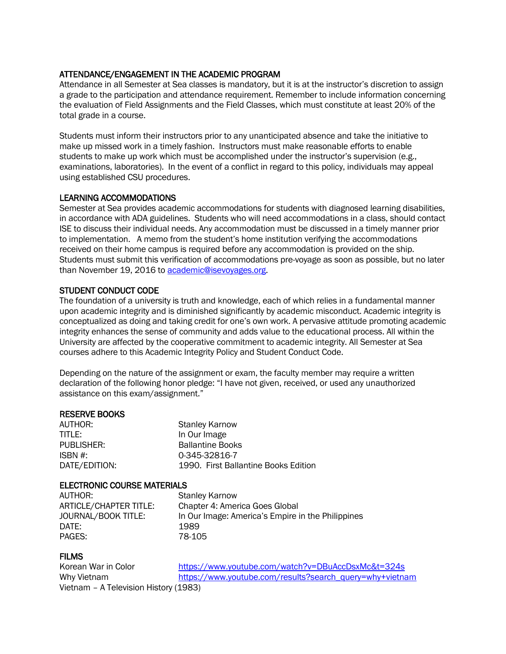# ATTENDANCE/ENGAGEMENT IN THE ACADEMIC PROGRAM

Attendance in all Semester at Sea classes is mandatory, but it is at the instructor's discretion to assign a grade to the participation and attendance requirement. Remember to include information concerning the evaluation of Field Assignments and the Field Classes, which must constitute at least 20% of the total grade in a course.

Students must inform their instructors prior to any unanticipated absence and take the initiative to make up missed work in a timely fashion. Instructors must make reasonable efforts to enable students to make up work which must be accomplished under the instructor's supervision (e.g., examinations, laboratories). In the event of a conflict in regard to this policy, individuals may appeal using established CSU procedures.

# LEARNING ACCOMMODATIONS

Semester at Sea provides academic accommodations for students with diagnosed learning disabilities, in accordance with ADA guidelines. Students who will need accommodations in a class, should contact ISE to discuss their individual needs. Any accommodation must be discussed in a timely manner prior to implementation. A memo from the student's home institution verifying the accommodations received on their home campus is required before any accommodation is provided on the ship. Students must submit this verification of accommodations pre-voyage as soon as possible, but no later than November 19, 2016 t[o academic@isevoyages.org.](mailto:academic@isevoyages.org)

# STUDENT CONDUCT CODE

The foundation of a university is truth and knowledge, each of which relies in a fundamental manner upon academic integrity and is diminished significantly by academic misconduct. Academic integrity is conceptualized as doing and taking credit for one's own work. A pervasive attitude promoting academic integrity enhances the sense of community and adds value to the educational process. All within the University are affected by the cooperative commitment to academic integrity. All Semester at Sea courses adhere to this Academic Integrity Policy and Student Conduct Code.

Depending on the nature of the assignment or exam, the faculty member may require a written declaration of the following honor pledge: "I have not given, received, or used any unauthorized assistance on this exam/assignment."

# RESERVE BOOKS

TITLE: In Our Image

AUTHOR: Stanley Karnow PUBLISHER: Ballantine Books ISBN #: 0-345-32816-7 DATE/EDITION: 1990. First Ballantine Books Edition

# ELECTRONIC COURSE MATERIALS

AUTHOR: Stanley Karnow DATE: 1989 PAGES: 78-105

ARTICLE/CHAPTER TITLE: Chapter 4: America Goes Global JOURNAL/BOOK TITLE: In Our Image: America's Empire in the Philippines

# **FILMS**

Korean War in Color https://www.youtube.com/watch?v=DBuAccDsxMc&t=324s Why Vietnam [https://www.youtube.com/results?search\\_query=why+vietnam](https://www.youtube.com/results?search_query=why+vietnam) Vietnam – A Television History (1983)